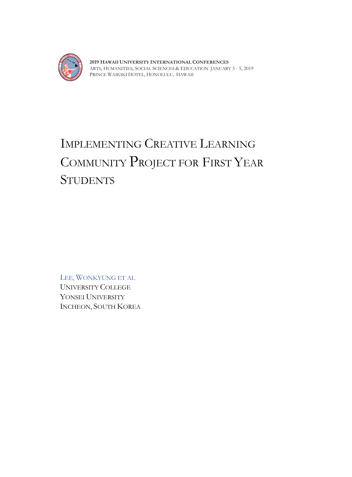

**2019 HAWAII UNIVERSITY INTERNATIONAL CONFERENCES**  ARTS, HUMANITIES, SOCIAL SCIENCES & EDUCATION JANUARY 3 - 5, 2019 PRINCE WAIKIKI HOTEL, HONOLULU, HAWAII

# IMPLEMENTING CREATIVE LEARNING COMMUNITY PROJECT FOR FIRST YEAR **STUDENTS**

LEE, WONKYUNG ET AL UNIVERSITY COLLEGE YONSEI UNIVERSITY INCHEON, SOUTH KOREA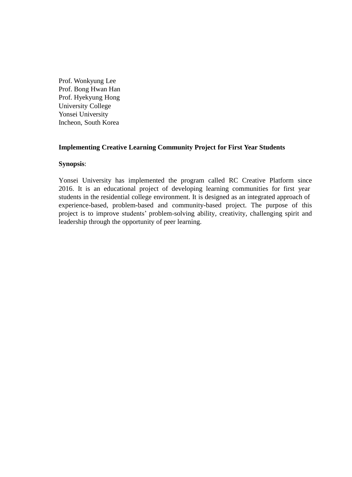Prof. Wonkyung Lee Prof. Bong Hwan Han Prof. Hyekyung Hong University College Yonsei University Incheon, South Korea

# **Implementing Creative Learning Community Project for First Year Students**

### **Synopsis**:

Yonsei University has implemented the program called RC Creative Platform since 2016. It is an educational project of developing learning communities for first year students in the residential college environment. It is designed as an integrated approach of experience-based, problem-based and community-based project. The purpose of this project is to improve students' problem-solving ability, creativity, challenging spirit and leadership through the opportunity of peer learning.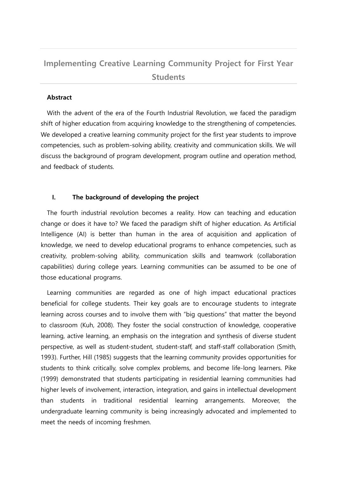# **Implementing Creative Learning Community Project for First Year Students**

# **Abstract**

With the advent of the era of the Fourth Industrial Revolution, we faced the paradigm shift of higher education from acquiring knowledge to the strengthening of competencies. We developed a creative learning community project for the first year students to improve competencies, such as problem-solving ability, creativity and communication skills. We will discuss the background of program development, program outline and operation method, and feedback of students.

# **I. The background of developing the project**

The fourth industrial revolution becomes a reality. How can teaching and education change or does it have to? We faced the paradigm shift of higher education. As Artificial Intelligence (AI) is better than human in the area of acquisition and application of knowledge, we need to develop educational programs to enhance competencies, such as creativity, problem-solving ability, communication skills and teamwork (collaboration capabilities) during college years. Learning communities can be assumed to be one of those educational programs.

Learning communities are regarded as one of high impact educational practices beneficial for college students. Their key goals are to encourage students to integrate learning across courses and to involve them with "big questions" that matter the beyond to classroom (Kuh, 2008). They foster the social construction of knowledge, cooperative learning, active learning, an emphasis on the integration and synthesis of diverse student perspective, as well as student-student, student-staff, and staff-staff collaboration (Smith, 1993). Further, Hill (1985) suggests that the learning community provides opportunities for students to think critically, solve complex problems, and become life-long learners. Pike (1999) demonstrated that students participating in residential learning communities had higher levels of involvement, interaction, integration, and gains in intellectual development than students in traditional residential learning arrangements. Moreover, the undergraduate learning community is being increasingly advocated and implemented to meet the needs of incoming freshmen.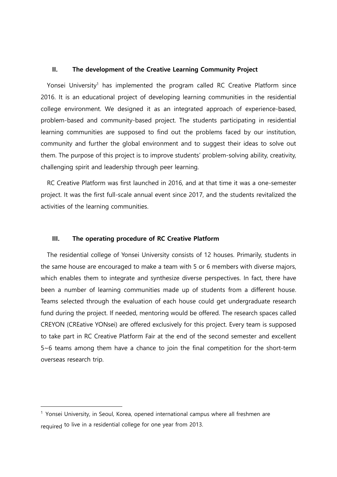#### **II. The development of the Creative Learning Community Project**

Yonsei University<sup>1</sup> has implemented the program called RC Creative Platform since 2016. It is an educational project of developing learning communities in the residential college environment. We designed it as an integrated approach of experience-based, problem-based and community-based project. The students participating in residential learning communities are supposed to find out the problems faced by our institution, community and further the global environment and to suggest their ideas to solve out them. The purpose of this project is to improve students' problem-solving ability, creativity, challenging spirit and leadership through peer learning.

RC Creative Platform was first launched in 2016, and at that time it was a one-semester project. It was the first full-scale annual event since 2017, and the students revitalized the activities of the learning communities.

# **III. The operating procedure of RC Creative Platform**

The residential college of Yonsei University consists of 12 houses. Primarily, students in the same house are encouraged to make a team with 5 or 6 members with diverse majors, which enables them to integrate and synthesize diverse perspectives. In fact, there have been a number of learning communities made up of students from a different house. Teams selected through the evaluation of each house could get undergraduate research fund during the project. If needed, mentoring would be offered. The research spaces called CREYON (CREative YONsei) are offered exclusively for this project. Every team is supposed to take part in RC Creative Platform Fair at the end of the second semester and excellent 5~6 teams among them have a chance to join the final competition for the short-term overseas research trip.

<sup>1</sup> Yonsei University, in Seoul, Korea, opened international campus where all freshmen are required to live in a residential college for one year from 2013.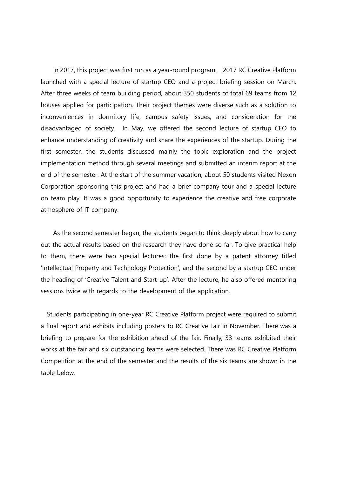In 2017, this project was first run as a year-round program. 2017 RC Creative Platform launched with a special lecture of startup CEO and a project briefing session on March. After three weeks of team building period, about 350 students of total 69 teams from 12 houses applied for participation. Their project themes were diverse such as a solution to inconveniences in dormitory life, campus safety issues, and consideration for the disadvantaged of society. In May, we offered the second lecture of startup CEO to enhance understanding of creativity and share the experiences of the startup. During the first semester, the students discussed mainly the topic exploration and the project implementation method through several meetings and submitted an interim report at the end of the semester. At the start of the summer vacation, about 50 students visited Nexon Corporation sponsoring this project and had a brief company tour and a special lecture on team play. It was a good opportunity to experience the creative and free corporate atmosphere of IT company.

As the second semester began, the students began to think deeply about how to carry out the actual results based on the research they have done so far. To give practical help to them, there were two special lectures; the first done by a patent attorney titled 'Intellectual Property and Technology Protection', and the second by a startup CEO under the heading of 'Creative Talent and Start-up'. After the lecture, he also offered mentoring sessions twice with regards to the development of the application.

Students participating in one-year RC Creative Platform project were required to submit a final report and exhibits including posters to RC Creative Fair in November. There was a briefing to prepare for the exhibition ahead of the fair. Finally, 33 teams exhibited their works at the fair and six outstanding teams were selected. There was RC Creative Platform Competition at the end of the semester and the results of the six teams are shown in the table below.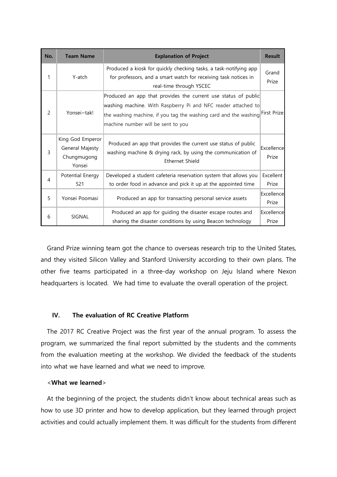| No.           | <b>Team Name</b>                                             | <b>Explanation of Project</b>                                                                                                                                                                                                             | <b>Result</b>       |
|---------------|--------------------------------------------------------------|-------------------------------------------------------------------------------------------------------------------------------------------------------------------------------------------------------------------------------------------|---------------------|
| 1             | Y-atch                                                       | Produced a kiosk for quickly checking tasks, a task-notifying app<br>for professors, and a smart watch for receiving task notices in<br>real-time through YSCEC                                                                           | Grand<br>Prize      |
| $\mathcal{P}$ | Yonsei~tak!                                                  | Produced an app that provides the current use status of public<br>washing machine. With Raspberry Pi and NFC reader attached to<br>the washing machine, if you tag the washing card and the washing<br>machine number will be sent to you | First Prize         |
| 3             | King God Emperor<br>General Majesty<br>Chungmugong<br>Yonsei | Produced an app that provides the current use status of public<br>washing machine & drying rack, by using the communication of<br>Ethernet Shield                                                                                         | Excellence<br>Prize |
| 4             | Potential Energy<br>521                                      | Developed a student cafeteria reservation system that allows you<br>to order food in advance and pick it up at the appointed time                                                                                                         | Excellent<br>Prize  |
| 5             | Yonsei Poomasi                                               | Produced an app for transacting personal service assets                                                                                                                                                                                   | Excellence<br>Prize |
| 6             | SIGNAL                                                       | Produced an app for guiding the disaster escape routes and<br>sharing the disaster conditions by using Beacon technology                                                                                                                  | Excellence<br>Prize |

Grand Prize winning team got the chance to overseas research trip to the United States, and they visited Silicon Valley and Stanford University according to their own plans. The other five teams participated in a three-day workshop on Jeju Island where Nexon headquarters is located. We had time to evaluate the overall operation of the project.

# **IV. The evaluation of RC Creative Platform**

The 2017 RC Creative Project was the first year of the annual program. To assess the program, we summarized the final report submitted by the students and the comments from the evaluation meeting at the workshop. We divided the feedback of the students into what we have learned and what we need to improve.

#### <**What we learned**>

At the beginning of the project, the students didn't know about technical areas such as how to use 3D printer and how to develop application, but they learned through project activities and could actually implement them. It was difficult for the students from different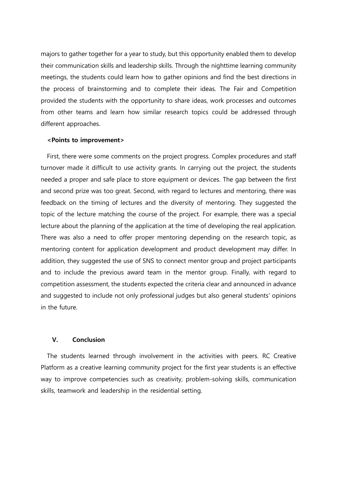majors to gather together for a year to study, but this opportunity enabled them to develop their communication skills and leadership skills. Through the nighttime learning community meetings, the students could learn how to gather opinions and find the best directions in the process of brainstorming and to complete their ideas. The Fair and Competition provided the students with the opportunity to share ideas, work processes and outcomes from other teams and learn how similar research topics could be addressed through different approaches.

#### **<Points to improvement>**

First, there were some comments on the project progress. Complex procedures and staff turnover made it difficult to use activity grants. In carrying out the project, the students needed a proper and safe place to store equipment or devices. The gap between the first and second prize was too great. Second, with regard to lectures and mentoring, there was feedback on the timing of lectures and the diversity of mentoring. They suggested the topic of the lecture matching the course of the project. For example, there was a special lecture about the planning of the application at the time of developing the real application. There was also a need to offer proper mentoring depending on the research topic, as mentoring content for application development and product development may differ. In addition, they suggested the use of SNS to connect mentor group and project participants and to include the previous award team in the mentor group. Finally, with regard to competition assessment, the students expected the criteria clear and announced in advance and suggested to include not only professional judges but also general students' opinions in the future.

### **V. Conclusion**

The students learned through involvement in the activities with peers. RC Creative Platform as a creative learning community project for the first year students is an effective way to improve competencies such as creativity, problem-solving skills, communication skills, teamwork and leadership in the residential setting.